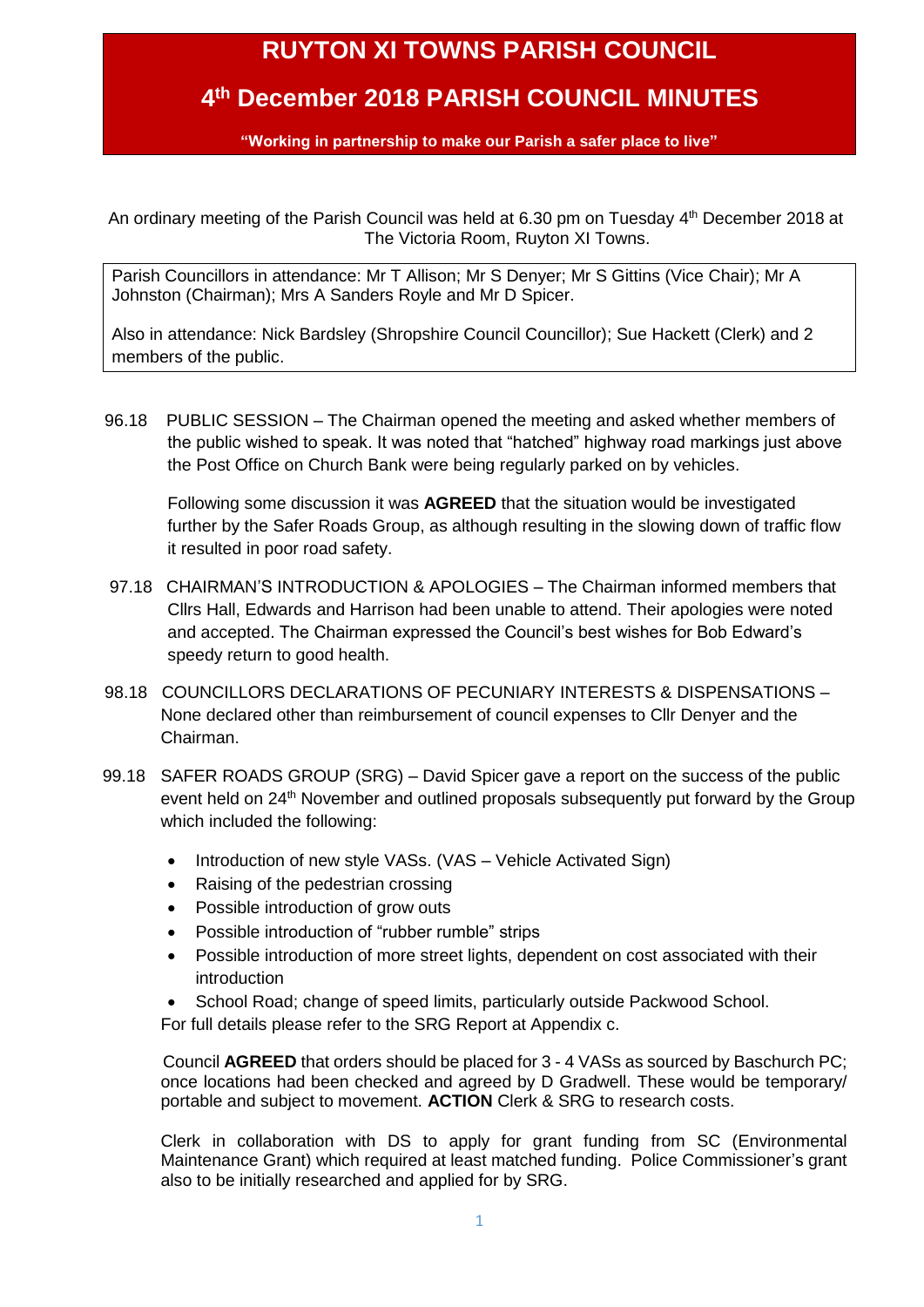## **RUYTON XI TOWNS PARISH COUNCIL**

### **4 th December 2018 PARISH COUNCIL MINUTES**

**"Working in partnership to make our Parish a safer place to live"**

An ordinary meeting of the Parish Council was held at 6.30 pm on Tuesday 4 th December 2018 at The Victoria Room, Ruyton XI Towns.

Parish Councillors in attendance: Mr T Allison; Mr S Denyer; Mr S Gittins (Vice Chair); Mr A Johnston (Chairman); Mrs A Sanders Royle and Mr D Spicer.

Also in attendance: Nick Bardsley (Shropshire Council Councillor); Sue Hackett (Clerk) and 2 members of the public.

96.18 PUBLIC SESSION – The Chairman opened the meeting and asked whether members of the public wished to speak. It was noted that "hatched" highway road markings just above the Post Office on Church Bank were being regularly parked on by vehicles.

Following some discussion it was **AGREED** that the situation would be investigated further by the Safer Roads Group, as although resulting in the slowing down of traffic flow it resulted in poor road safety.

- 97.18 CHAIRMAN'S INTRODUCTION & APOLOGIES The Chairman informed members that Cllrs Hall, Edwards and Harrison had been unable to attend. Their apologies were noted and accepted. The Chairman expressed the Council's best wishes for Bob Edward's speedy return to good health.
- 98.18 COUNCILLORS DECLARATIONS OF PECUNIARY INTERESTS & DISPENSATIONS None declared other than reimbursement of council expenses to Cllr Denyer and the Chairman.
- 99.18 SAFER ROADS GROUP (SRG) David Spicer gave a report on the success of the public event held on 24<sup>th</sup> November and outlined proposals subsequently put forward by the Group which included the following:
	- Introduction of new style VASs. (VAS Vehicle Activated Sign)
	- Raising of the pedestrian crossing
	- Possible introduction of grow outs
	- Possible introduction of "rubber rumble" strips
	- Possible introduction of more street lights, dependent on cost associated with their introduction
	- School Road; change of speed limits, particularly outside Packwood School.

For full details please refer to the SRG Report at Appendix c.

Council **AGREED** that orders should be placed for 3 - 4 VASs as sourced by Baschurch PC; once locations had been checked and agreed by D Gradwell. These would be temporary/ portable and subject to movement. **ACTION** Clerk & SRG to research costs.

Clerk in collaboration with DS to apply for grant funding from SC (Environmental Maintenance Grant) which required at least matched funding. Police Commissioner's grant also to be initially researched and applied for by SRG.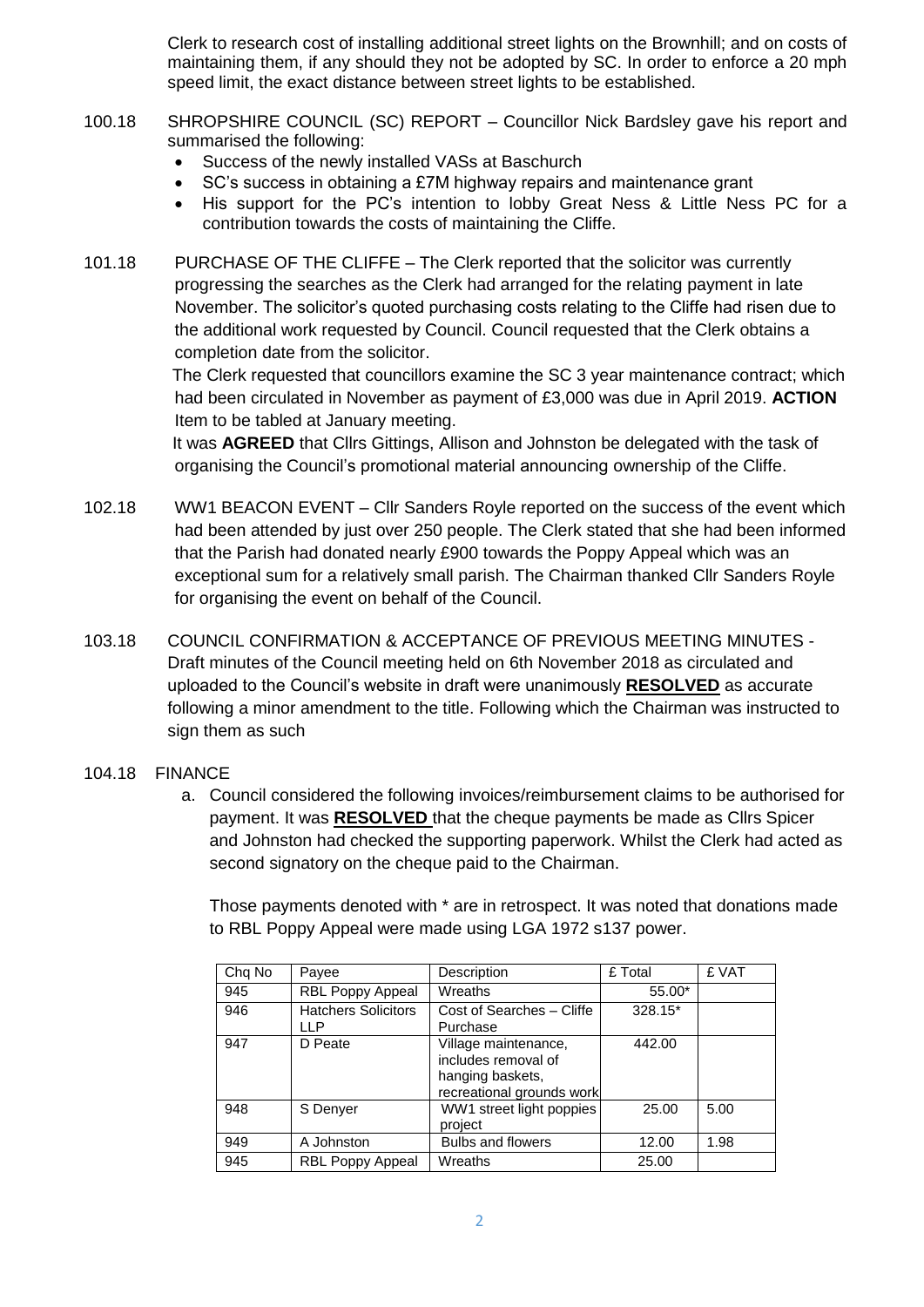Clerk to research cost of installing additional street lights on the Brownhill; and on costs of maintaining them, if any should they not be adopted by SC. In order to enforce a 20 mph speed limit, the exact distance between street lights to be established.

- 100.18 SHROPSHIRE COUNCIL (SC) REPORT Councillor Nick Bardsley gave his report and summarised the following:
	- Success of the newly installed VASs at Baschurch
	- SC's success in obtaining a £7M highway repairs and maintenance grant
	- His support for the PC's intention to lobby Great Ness & Little Ness PC for a contribution towards the costs of maintaining the Cliffe.
- 101.18 PURCHASE OF THE CLIFFE The Clerk reported that the solicitor was currently progressing the searches as the Clerk had arranged for the relating payment in late November. The solicitor's quoted purchasing costs relating to the Cliffe had risen due to the additional work requested by Council. Council requested that the Clerk obtains a completion date from the solicitor.

The Clerk requested that councillors examine the SC 3 year maintenance contract; which had been circulated in November as payment of £3,000 was due in April 2019. **ACTION** Item to be tabled at January meeting.

It was **AGREED** that Cllrs Gittings, Allison and Johnston be delegated with the task of organising the Council's promotional material announcing ownership of the Cliffe.

- 102.18 WW1 BEACON EVENT Cllr Sanders Royle reported on the success of the event which had been attended by just over 250 people. The Clerk stated that she had been informed that the Parish had donated nearly £900 towards the Poppy Appeal which was an exceptional sum for a relatively small parish. The Chairman thanked Cllr Sanders Royle for organising the event on behalf of the Council.
- 103.18 COUNCIL CONFIRMATION & ACCEPTANCE OF PREVIOUS MEETING MINUTES Draft minutes of the Council meeting held on 6th November 2018 as circulated and uploaded to the Council's website in draft were unanimously **RESOLVED** as accurate following a minor amendment to the title. Following which the Chairman was instructed to sign them as such

#### 104.18 FINANCE

a. Council considered the following invoices/reimbursement claims to be authorised for payment. It was **RESOLVED** that the cheque payments be made as Cllrs Spicer and Johnston had checked the supporting paperwork. Whilst the Clerk had acted as second signatory on the cheque paid to the Chairman.

Those payments denoted with \* are in retrospect. It was noted that donations made to RBL Poppy Appeal were made using LGA 1972 s137 power.

| Chq No | Payee                             | Description                                                                                  | £ Total | £ VAT |
|--------|-----------------------------------|----------------------------------------------------------------------------------------------|---------|-------|
| 945    | RBL Poppy Appeal                  | Wreaths                                                                                      | 55.00*  |       |
| 946    | <b>Hatchers Solicitors</b><br>LLP | Cost of Searches - Cliffe<br>Purchase                                                        | 328.15* |       |
| 947    | D Peate                           | Village maintenance,<br>includes removal of<br>hanging baskets,<br>recreational grounds work | 442.00  |       |
| 948    | S Denyer                          | WW1 street light poppies<br>project                                                          | 25.00   | 5.00  |
| 949    | A Johnston                        | <b>Bulbs and flowers</b>                                                                     | 12.00   | 1.98  |
| 945    | <b>RBL Poppy Appeal</b>           | Wreaths                                                                                      | 25.00   |       |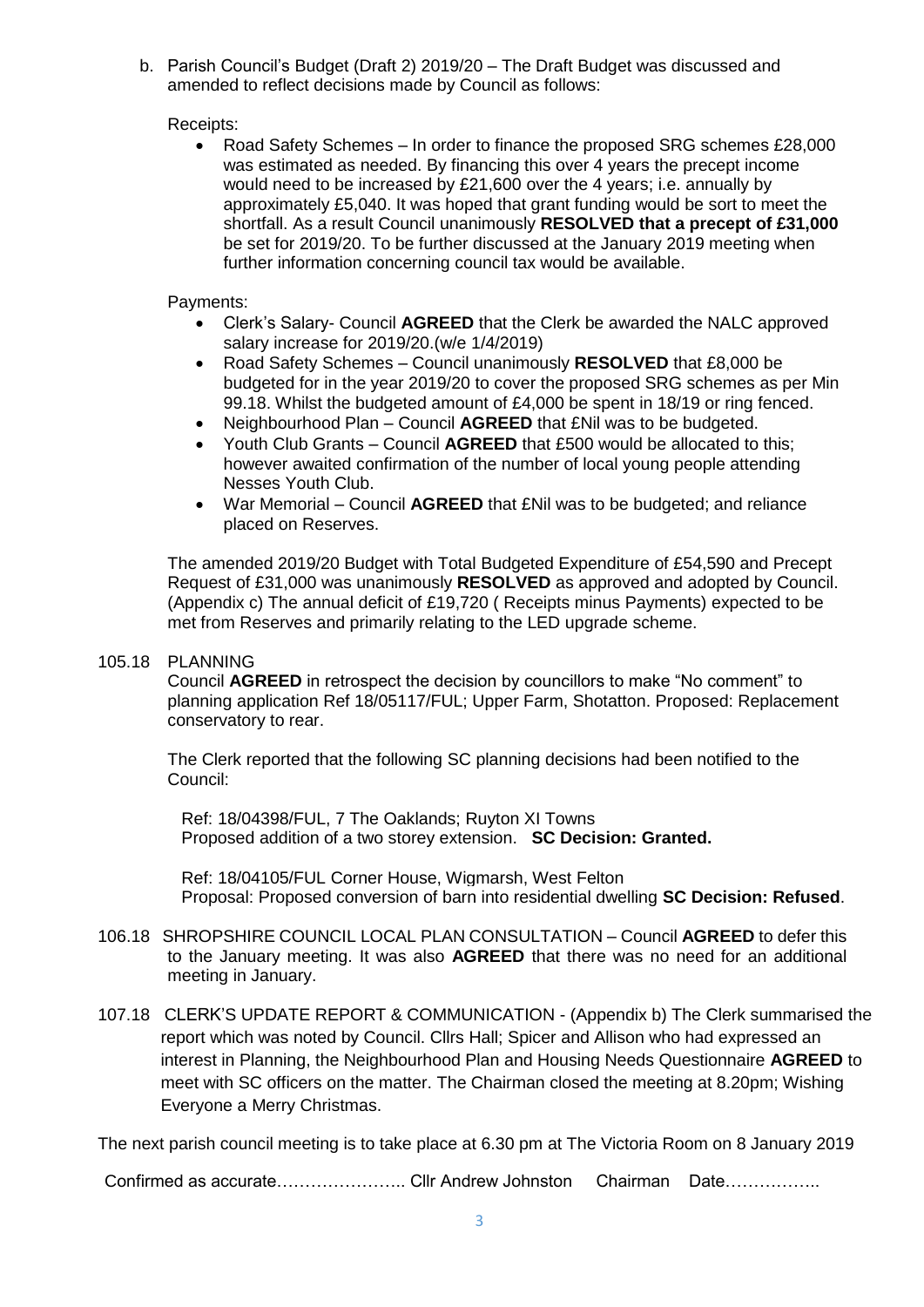b. Parish Council's Budget (Draft 2) 2019/20 – The Draft Budget was discussed and amended to reflect decisions made by Council as follows:

#### Receipts:

 Road Safety Schemes – In order to finance the proposed SRG schemes £28,000 was estimated as needed. By financing this over 4 years the precept income would need to be increased by £21,600 over the 4 years; i.e. annually by approximately £5,040. It was hoped that grant funding would be sort to meet the shortfall. As a result Council unanimously **RESOLVED that a precept of £31,000** be set for 2019/20. To be further discussed at the January 2019 meeting when further information concerning council tax would be available.

#### Payments:

- Clerk's Salary- Council **AGREED** that the Clerk be awarded the NALC approved salary increase for 2019/20.(w/e 1/4/2019)
- Road Safety Schemes Council unanimously **RESOLVED** that £8,000 be budgeted for in the year 2019/20 to cover the proposed SRG schemes as per Min 99.18. Whilst the budgeted amount of £4,000 be spent in 18/19 or ring fenced.
- Neighbourhood Plan Council **AGREED** that £Nil was to be budgeted.
- Youth Club Grants Council **AGREED** that £500 would be allocated to this; however awaited confirmation of the number of local young people attending Nesses Youth Club.
- War Memorial Council **AGREED** that £Nil was to be budgeted; and reliance placed on Reserves.

The amended 2019/20 Budget with Total Budgeted Expenditure of £54,590 and Precept Request of £31,000 was unanimously **RESOLVED** as approved and adopted by Council. (Appendix c) The annual deficit of £19,720 ( Receipts minus Payments) expected to be met from Reserves and primarily relating to the LED upgrade scheme.

#### 105.18 PLANNING

Council **AGREED** in retrospect the decision by councillors to make "No comment" to planning application Ref 18/05117/FUL; Upper Farm, Shotatton. Proposed: Replacement conservatory to rear.

The Clerk reported that the following SC planning decisions had been notified to the Council:

Ref: 18/04398/FUL, 7 The Oaklands; Ruyton XI Towns Proposed addition of a two storey extension. **SC Decision: Granted.**

Ref: 18/04105/FUL Corner House, Wigmarsh, West Felton Proposal: Proposed conversion of barn into residential dwelling **SC Decision: Refused**.

- 106.18 SHROPSHIRE COUNCIL LOCAL PLAN CONSULTATION Council **AGREED** to defer this to the January meeting. It was also **AGREED** that there was no need for an additional meeting in January.
- 107.18 CLERK'S UPDATE REPORT & COMMUNICATION (Appendix b) The Clerk summarised the report which was noted by Council. Cllrs Hall; Spicer and Allison who had expressed an interest in Planning, the Neighbourhood Plan and Housing Needs Questionnaire **AGREED** to meet with SC officers on the matter. The Chairman closed the meeting at 8.20pm; Wishing Everyone a Merry Christmas.

The next parish council meeting is to take place at 6.30 pm at The Victoria Room on 8 January 2019

Confirmed as accurate………………….. Cllr Andrew Johnston Chairman Date……………..